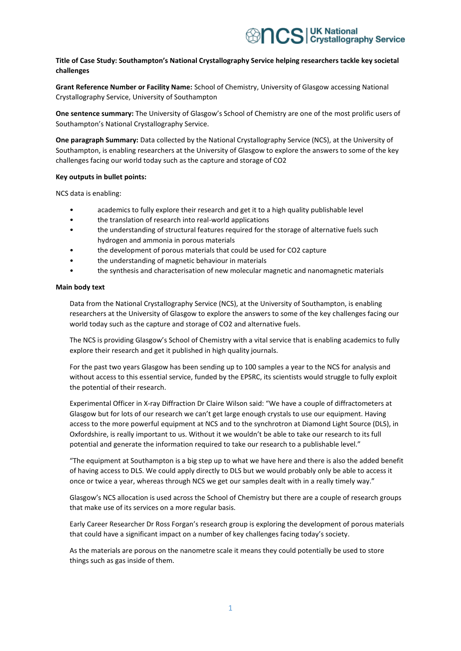## **Title of Case Study: Southampton's National Crystallography Service helping researchers tackle key societal challenges**

**Grant Reference Number or Facility Name:** School of Chemistry, University of Glasgow accessing National Crystallography Service, University of Southampton

**One sentence summary:** The University of Glasgow's School of Chemistry are one of the most prolific users of Southampton's National Crystallography Service.

**One paragraph Summary:** Data collected by the National Crystallography Service (NCS), at the University of Southampton, is enabling researchers at the University of Glasgow to explore the answers to some of the key challenges facing our world today such as the capture and storage of CO2

## **Key outputs in bullet points:**

NCS data is enabling:

- academics to fully explore their research and get it to a high quality publishable level
- the translation of research into real-world applications
- the understanding of structural features required for the storage of alternative fuels such hydrogen and ammonia in porous materials
- the development of porous materials that could be used for CO2 capture
- the understanding of magnetic behaviour in materials
- the synthesis and characterisation of new molecular magnetic and nanomagnetic materials

## **Main body text**

Data from the National Crystallography Service (NCS), at the University of Southampton, is enabling researchers at the University of Glasgow to explore the answers to some of the key challenges facing our world today such as the capture and storage of CO2 and alternative fuels.

The NCS is providing Glasgow's School of Chemistry with a vital service that is enabling academics to fully explore their research and get it published in high quality journals.

For the past two years Glasgow has been sending up to 100 samples a year to the NCS for analysis and without access to this essential service, funded by the EPSRC, its scientists would struggle to fully exploit the potential of their research.

Experimental Officer in X-ray Diffraction Dr Claire Wilson said: "We have a couple of diffractometers at Glasgow but for lots of our research we can't get large enough crystals to use our equipment. Having access to the more powerful equipment at NCS and to the synchrotron at Diamond Light Source (DLS), in Oxfordshire, is really important to us. Without it we wouldn't be able to take our research to its full potential and generate the information required to take our research to a publishable level."

"The equipment at Southampton is a big step up to what we have here and there is also the added benefit of having access to DLS. We could apply directly to DLS but we would probably only be able to access it once or twice a year, whereas through NCS we get our samples dealt with in a really timely way."

Glasgow's NCS allocation is used across the School of Chemistry but there are a couple of research groups that make use of its services on a more regular basis.

Early Career Researcher Dr Ross Forgan's research group is exploring the development of porous materials that could have a significant impact on a number of key challenges facing today's society.

As the materials are porous on the nanometre scale it means they could potentially be used to store things such as gas inside of them.